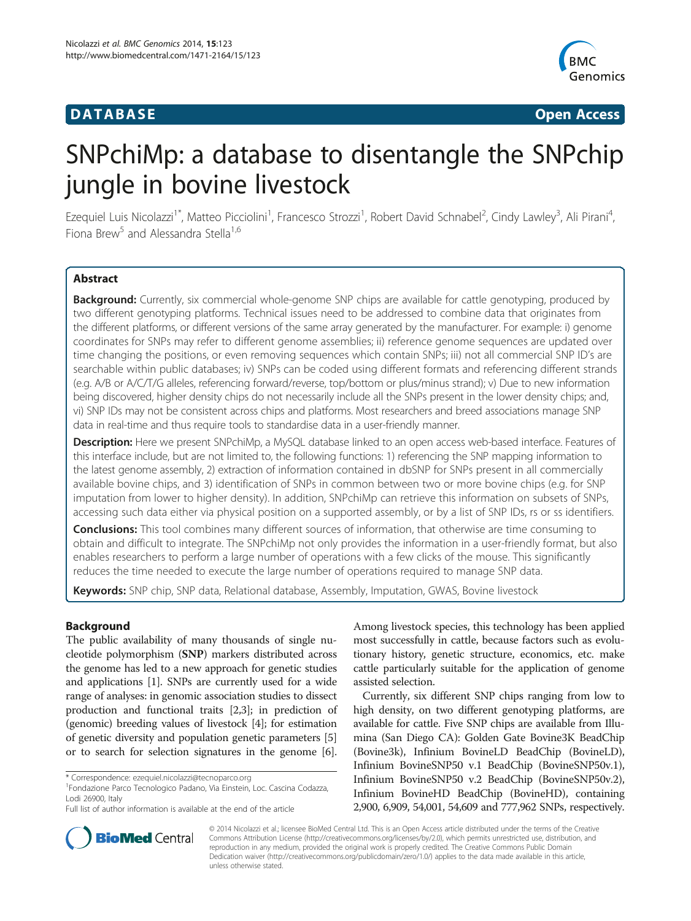# **DATABASE CONSERVERSE IN A SERVERSE SERVERSE IN A SERVERSE IN A SERVERSE SERVERSE SERVERSE SERVERSE SERVERSE S**



# SNPchiMp: a database to disentangle the SNPchip jungle in bovine livestock

Ezequiel Luis Nicolazzi<sup>1\*</sup>, Matteo Picciolini<sup>1</sup>, Francesco Strozzi<sup>1</sup>, Robert David Schnabel<sup>2</sup>, Cindy Lawley<sup>3</sup>, Ali Pirani<sup>4</sup> , Fiona Brew<sup>5</sup> and Alessandra Stella<sup>1,6</sup>

# **Abstract**

Background: Currently, six commercial whole-genome SNP chips are available for cattle genotyping, produced by two different genotyping platforms. Technical issues need to be addressed to combine data that originates from the different platforms, or different versions of the same array generated by the manufacturer. For example: i) genome coordinates for SNPs may refer to different genome assemblies; ii) reference genome sequences are updated over time changing the positions, or even removing sequences which contain SNPs; iii) not all commercial SNP ID's are searchable within public databases; iv) SNPs can be coded using different formats and referencing different strands (e.g. A/B or A/C/T/G alleles, referencing forward/reverse, top/bottom or plus/minus strand); v) Due to new information being discovered, higher density chips do not necessarily include all the SNPs present in the lower density chips; and, vi) SNP IDs may not be consistent across chips and platforms. Most researchers and breed associations manage SNP data in real-time and thus require tools to standardise data in a user-friendly manner.

Description: Here we present SNPchiMp, a MySQL database linked to an open access web-based interface. Features of this interface include, but are not limited to, the following functions: 1) referencing the SNP mapping information to the latest genome assembly, 2) extraction of information contained in dbSNP for SNPs present in all commercially available bovine chips, and 3) identification of SNPs in common between two or more bovine chips (e.g. for SNP imputation from lower to higher density). In addition, SNPchiMp can retrieve this information on subsets of SNPs, accessing such data either via physical position on a supported assembly, or by a list of SNP IDs, rs or ss identifiers.

**Conclusions:** This tool combines many different sources of information, that otherwise are time consuming to obtain and difficult to integrate. The SNPchiMp not only provides the information in a user-friendly format, but also enables researchers to perform a large number of operations with a few clicks of the mouse. This significantly reduces the time needed to execute the large number of operations required to manage SNP data.

Keywords: SNP chip, SNP data, Relational database, Assembly, Imputation, GWAS, Bovine livestock

# Background

The public availability of many thousands of single nucleotide polymorphism (SNP) markers distributed across the genome has led to a new approach for genetic studies and applications [\[1](#page-5-0)]. SNPs are currently used for a wide range of analyses: in genomic association studies to dissect production and functional traits [\[2,3\]](#page-5-0); in prediction of (genomic) breeding values of livestock [\[4\]](#page-5-0); for estimation of genetic diversity and population genetic parameters [[5](#page-5-0)] or to search for selection signatures in the genome [[6](#page-5-0)].

Among livestock species, this technology has been applied most successfully in cattle, because factors such as evolutionary history, genetic structure, economics, etc. make cattle particularly suitable for the application of genome assisted selection.

Currently, six different SNP chips ranging from low to high density, on two different genotyping platforms, are available for cattle. Five SNP chips are available from Illumina (San Diego CA): Golden Gate Bovine3K BeadChip (Bovine3k), Infinium BovineLD BeadChip (BovineLD), Infinium BovineSNP50 v.1 BeadChip (BovineSNP50v.1), Infinium BovineSNP50 v.2 BeadChip (BovineSNP50v.2), Infinium BovineHD BeadChip (BovineHD), containing 2,900, 6,909, 54,001, 54,609 and 777,962 SNPs, respectively.



© 2014 Nicolazzi et al.; licensee BioMed Central Ltd. This is an Open Access article distributed under the terms of the Creative Commons Attribution License [\(http://creativecommons.org/licenses/by/2.0\)](http://creativecommons.org/licenses/by/2.0), which permits unrestricted use, distribution, and reproduction in any medium, provided the original work is properly credited. The Creative Commons Public Domain Dedication waiver [\(http://creativecommons.org/publicdomain/zero/1.0/](http://creativecommons.org/publicdomain/zero/1.0/)) applies to the data made available in this article, unless otherwise stated.

<sup>\*</sup> Correspondence: [ezequiel.nicolazzi@tecnoparco.org](mailto:ezequiel.nicolazzi@tecnoparco.org) <sup>1</sup>

Fondazione Parco Tecnologico Padano, Via Einstein, Loc. Cascina Codazza, Lodi 26900, Italy

Full list of author information is available at the end of the article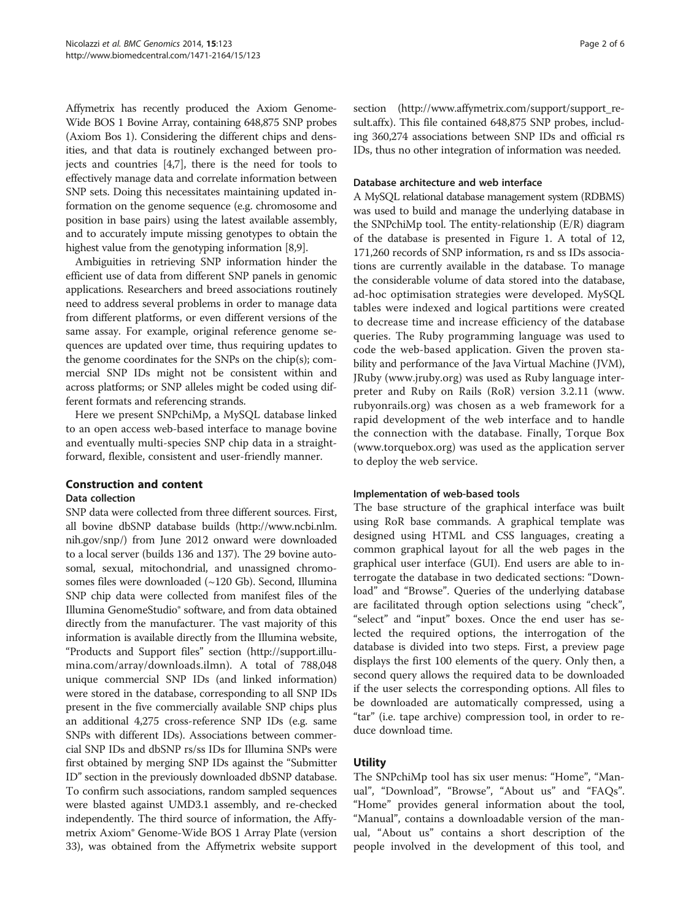Affymetrix has recently produced the Axiom Genome-Wide BOS 1 Bovine Array, containing 648,875 SNP probes (Axiom Bos 1). Considering the different chips and densities, and that data is routinely exchanged between projects and countries [[4,7](#page-5-0)], there is the need for tools to effectively manage data and correlate information between SNP sets. Doing this necessitates maintaining updated information on the genome sequence (e.g. chromosome and position in base pairs) using the latest available assembly, and to accurately impute missing genotypes to obtain the highest value from the genotyping information [[8,9](#page-5-0)].

Ambiguities in retrieving SNP information hinder the efficient use of data from different SNP panels in genomic applications. Researchers and breed associations routinely need to address several problems in order to manage data from different platforms, or even different versions of the same assay. For example, original reference genome sequences are updated over time, thus requiring updates to the genome coordinates for the SNPs on the chip(s); commercial SNP IDs might not be consistent within and across platforms; or SNP alleles might be coded using different formats and referencing strands.

Here we present SNPchiMp, a MySQL database linked to an open access web-based interface to manage bovine and eventually multi-species SNP chip data in a straightforward, flexible, consistent and user-friendly manner.

# Construction and content

#### Data collection

SNP data were collected from three different sources. First, all bovine dbSNP database builds [\(http://www.ncbi.nlm.](http://www.ncbi.nlm.nih.gov/snp/) [nih.gov/snp/\)](http://www.ncbi.nlm.nih.gov/snp/) from June 2012 onward were downloaded to a local server (builds 136 and 137). The 29 bovine autosomal, sexual, mitochondrial, and unassigned chromosomes files were downloaded (~120 Gb). Second, Illumina SNP chip data were collected from manifest files of the Illumina GenomeStudio® software, and from data obtained directly from the manufacturer. The vast majority of this information is available directly from the Illumina website, "Products and Support files" section ([http://support.illu](http://support.illumina.com/array/downloads.ilmn)[mina.com/array/downloads.ilmn\)](http://support.illumina.com/array/downloads.ilmn). A total of 788,048 unique commercial SNP IDs (and linked information) were stored in the database, corresponding to all SNP IDs present in the five commercially available SNP chips plus an additional 4,275 cross-reference SNP IDs (e.g. same SNPs with different IDs). Associations between commercial SNP IDs and dbSNP rs/ss IDs for Illumina SNPs were first obtained by merging SNP IDs against the "Submitter ID" section in the previously downloaded dbSNP database. To confirm such associations, random sampled sequences were blasted against UMD3.1 assembly, and re-checked independently. The third source of information, the Affymetrix Axiom® Genome-Wide BOS 1 Array Plate (version 33), was obtained from the Affymetrix website support

section [\(http://www.affymetrix.com/support/support\\_re](http://www.affymetrix.com/support/support_result.affx)[sult.affx\)](http://www.affymetrix.com/support/support_result.affx). This file contained 648,875 SNP probes, including 360,274 associations between SNP IDs and official rs IDs, thus no other integration of information was needed.

#### Database architecture and web interface

A MySQL relational database management system (RDBMS) was used to build and manage the underlying database in the SNPchiMp tool. The entity-relationship (E/R) diagram of the database is presented in Figure [1](#page-2-0). A total of 12, 171,260 records of SNP information, rs and ss IDs associations are currently available in the database. To manage the considerable volume of data stored into the database, ad-hoc optimisation strategies were developed. MySQL tables were indexed and logical partitions were created to decrease time and increase efficiency of the database queries. The Ruby programming language was used to code the web-based application. Given the proven stability and performance of the Java Virtual Machine (JVM), JRuby ([www.jruby.org](http://www.jruby.org)) was used as Ruby language interpreter and Ruby on Rails (RoR) version 3.2.11 ([www.](http://www.rubyonrails.org) [rubyonrails.org\)](http://www.rubyonrails.org) was chosen as a web framework for a rapid development of the web interface and to handle the connection with the database. Finally, Torque Box ([www.torquebox.org\)](http://www.torquebox.org) was used as the application server to deploy the web service.

#### Implementation of web-based tools

The base structure of the graphical interface was built using RoR base commands. A graphical template was designed using HTML and CSS languages, creating a common graphical layout for all the web pages in the graphical user interface (GUI). End users are able to interrogate the database in two dedicated sections: "Download" and "Browse". Queries of the underlying database are facilitated through option selections using "check", "select" and "input" boxes. Once the end user has selected the required options, the interrogation of the database is divided into two steps. First, a preview page displays the first 100 elements of the query. Only then, a second query allows the required data to be downloaded if the user selects the corresponding options. All files to be downloaded are automatically compressed, using a "tar" (i.e. tape archive) compression tool, in order to reduce download time.

# Utility

The SNPchiMp tool has six user menus: "Home", "Manual", "Download", "Browse", "About us" and "FAQs". "Home" provides general information about the tool, "Manual", contains a downloadable version of the manual, "About us" contains a short description of the people involved in the development of this tool, and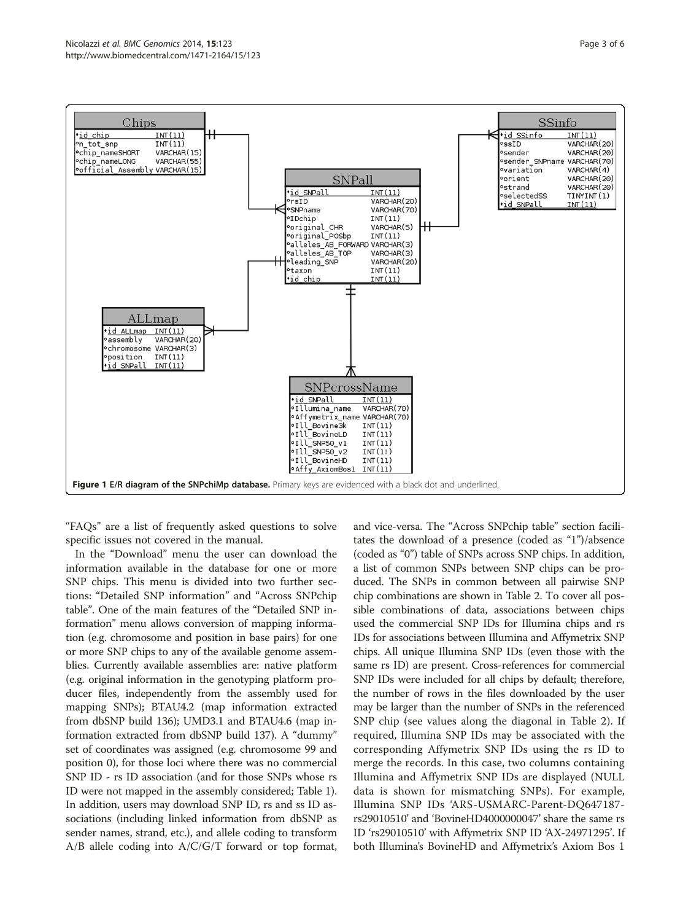<span id="page-2-0"></span>

"FAQs" are a list of frequently asked questions to solve specific issues not covered in the manual.

In the "Download" menu the user can download the information available in the database for one or more SNP chips. This menu is divided into two further sections: "Detailed SNP information" and "Across SNPchip table". One of the main features of the "Detailed SNP information" menu allows conversion of mapping information (e.g. chromosome and position in base pairs) for one or more SNP chips to any of the available genome assemblies. Currently available assemblies are: native platform (e.g. original information in the genotyping platform producer files, independently from the assembly used for mapping SNPs); BTAU4.2 (map information extracted from dbSNP build 136); UMD3.1 and BTAU4.6 (map information extracted from dbSNP build 137). A "dummy" set of coordinates was assigned (e.g. chromosome 99 and position 0), for those loci where there was no commercial SNP ID - rs ID association (and for those SNPs whose rs ID were not mapped in the assembly considered; Table [1](#page-3-0)). In addition, users may download SNP ID, rs and ss ID associations (including linked information from dbSNP as sender names, strand, etc.), and allele coding to transform A/B allele coding into A/C/G/T forward or top format, and vice-versa. The "Across SNPchip table" section facilitates the download of a presence (coded as "1")/absence (coded as "0") table of SNPs across SNP chips. In addition, a list of common SNPs between SNP chips can be produced. The SNPs in common between all pairwise SNP chip combinations are shown in Table [2](#page-3-0). To cover all possible combinations of data, associations between chips used the commercial SNP IDs for Illumina chips and rs IDs for associations between Illumina and Affymetrix SNP chips. All unique Illumina SNP IDs (even those with the same rs ID) are present. Cross-references for commercial SNP IDs were included for all chips by default; therefore, the number of rows in the files downloaded by the user may be larger than the number of SNPs in the referenced SNP chip (see values along the diagonal in Table [2](#page-3-0)). If required, Illumina SNP IDs may be associated with the corresponding Affymetrix SNP IDs using the rs ID to merge the records. In this case, two columns containing Illumina and Affymetrix SNP IDs are displayed (NULL data is shown for mismatching SNPs). For example, Illumina SNP IDs 'ARS-USMARC-Parent-DQ647187 rs29010510' and 'BovineHD4000000047' share the same rs ID 'rs29010510' with Affymetrix SNP ID 'AX-24971295'. If both Illumina's BovineHD and Affymetrix's Axiom Bos 1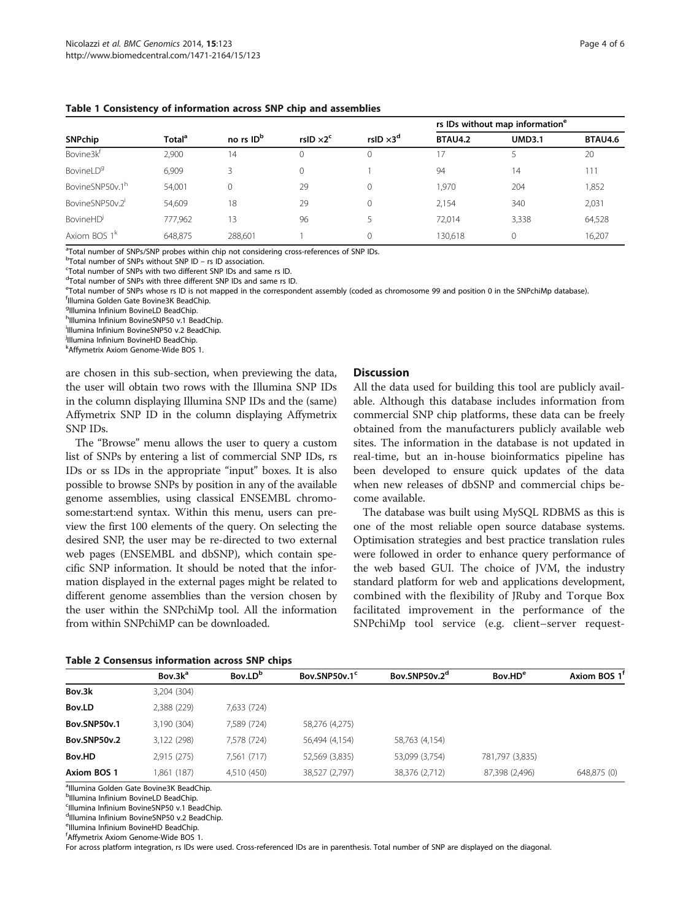| <b>SNPchip</b>           | Total <sup>a</sup> | no rs ID <sup>b</sup> | rsID $\times2^c$ | rsID $\times$ 3 <sup>d</sup> | rs IDs without map information <sup>e</sup> |               |         |
|--------------------------|--------------------|-----------------------|------------------|------------------------------|---------------------------------------------|---------------|---------|
|                          |                    |                       |                  |                              | <b>BTAU4.2</b>                              | <b>UMD3.1</b> | BTAU4.6 |
| Bovine3k <sup>t</sup>    | 2,900              | 14                    |                  | 0                            | 17                                          |               | 20      |
| BovineLD <sup>9</sup>    | 6.909              |                       |                  |                              | 94                                          | 14            | 111     |
| BovineSNP50v.1h          | 54,001             | 0                     | 29               | 0                            | 1,970                                       | 204           | 1,852   |
| BovineSNP50v.2           | 54,609             | 18                    | 29               | 0                            | 2,154                                       | 340           | 2,031   |
| <b>BovineHD</b>          | 777,962            | 13                    | 96               |                              | 72,014                                      | 3,338         | 64,528  |
| Axiom BOS 1 <sup>k</sup> | 648.875            | 288,601               |                  |                              | 130,618                                     |               | 16.207  |

<sup>a</sup>Total number of SNPs/SNP probes within chip not considering cross-references of SNP IDs.

<span id="page-3-0"></span>Table 1 Consistency of information across SNP chip and assemblies

 $b$ Total number of SNPs without SNP ID – rs ID association.<br><sup>C</sup>Iotal number of SNPs with two different SNP IDs and sat

Total number of SNPs with two different SNP IDs and same rs ID.

<sup>d</sup>Total number of SNPs with three different SNP IDs and same rs ID.

e Total number of SNPs whose rs ID is not mapped in the correspondent assembly (coded as chromosome 99 and position 0 in the SNPchiMp database).

f Illumina Golden Gate Bovine3K BeadChip.

g Illumina Infinium BovineLD BeadChip.

hIllumina Infinium BovineSNP50 v.1 BeadChip.

i Illumina Infinium BovineSNP50 v.2 BeadChip.

j Illumina Infinium BovineHD BeadChip.

k Affymetrix Axiom Genome-Wide BOS 1.

are chosen in this sub-section, when previewing the data, the user will obtain two rows with the Illumina SNP IDs in the column displaying Illumina SNP IDs and the (same) Affymetrix SNP ID in the column displaying Affymetrix SNP IDs.

The "Browse" menu allows the user to query a custom list of SNPs by entering a list of commercial SNP IDs, rs IDs or ss IDs in the appropriate "input" boxes. It is also possible to browse SNPs by position in any of the available genome assemblies, using classical ENSEMBL chromosome:start:end syntax. Within this menu, users can preview the first 100 elements of the query. On selecting the desired SNP, the user may be re-directed to two external web pages (ENSEMBL and dbSNP), which contain specific SNP information. It should be noted that the information displayed in the external pages might be related to different genome assemblies than the version chosen by the user within the SNPchiMp tool. All the information from within SNPchiMP can be downloaded.

|  |  |  | Table 2 Consensus information across SNP chips |  |  |  |
|--|--|--|------------------------------------------------|--|--|--|
|--|--|--|------------------------------------------------|--|--|--|

#### Discussion

All the data used for building this tool are publicly available. Although this database includes information from commercial SNP chip platforms, these data can be freely obtained from the manufacturers publicly available web sites. The information in the database is not updated in real-time, but an in-house bioinformatics pipeline has been developed to ensure quick updates of the data when new releases of dbSNP and commercial chips become available.

The database was built using MySQL RDBMS as this is one of the most reliable open source database systems. Optimisation strategies and best practice translation rules were followed in order to enhance query performance of the web based GUI. The choice of JVM, the industry standard platform for web and applications development, combined with the flexibility of JRuby and Torque Box facilitated improvement in the performance of the SNPchiMp tool service (e.g. client–server request-

| $1$ wwie = evilyenywy hntwiniweion wei opy sitt enips |                     |                     |                           |                           |                     |             |  |  |
|-------------------------------------------------------|---------------------|---------------------|---------------------------|---------------------------|---------------------|-------------|--|--|
|                                                       | Bov.3k <sup>a</sup> | Bov.LD <sup>b</sup> | Bov.SNP50v.1 <sup>c</sup> | Bov.SNP50v.2 <sup>d</sup> | Bov.HD <sup>e</sup> | Axiom BOS 1 |  |  |
| Bov.3k                                                | 3,204 (304)         |                     |                           |                           |                     |             |  |  |
| Bov.LD                                                | 2,388 (229)         | 7,633 (724)         |                           |                           |                     |             |  |  |
| Bov.SNP50v.1                                          | 3,190 (304)         | 7,589 (724)         | 58,276 (4,275)            |                           |                     |             |  |  |
| Bov.SNP50v.2                                          | 3,122 (298)         | 7,578 (724)         | 56,494 (4,154)            | 58,763 (4,154)            |                     |             |  |  |
| Bov.HD                                                | 2,915 (275)         | 7,561 (717)         | 52,569 (3,835)            | 53,099 (3,754)            | 781,797 (3,835)     |             |  |  |
| Axiom BOS 1                                           | 1,861 (187)         | 4,510 (450)         | 38,527 (2,797)            | 38,376 (2,712)            | 87,398 (2,496)      | 648,875 (0) |  |  |

allumina Golden Gate Bovine3K BeadChip.

**bIllumina Infinium BovineLD BeadChip.** 

c Illumina Infinium BovineSNP50 v.1 BeadChip.

dIllumina Infinium BovineSNP50 v.2 BeadChip.

e Illumina Infinium BovineHD BeadChip.

f Affymetrix Axiom Genome-Wide BOS 1.

For across platform integration, rs IDs were used. Cross-referenced IDs are in parenthesis. Total number of SNP are displayed on the diagonal.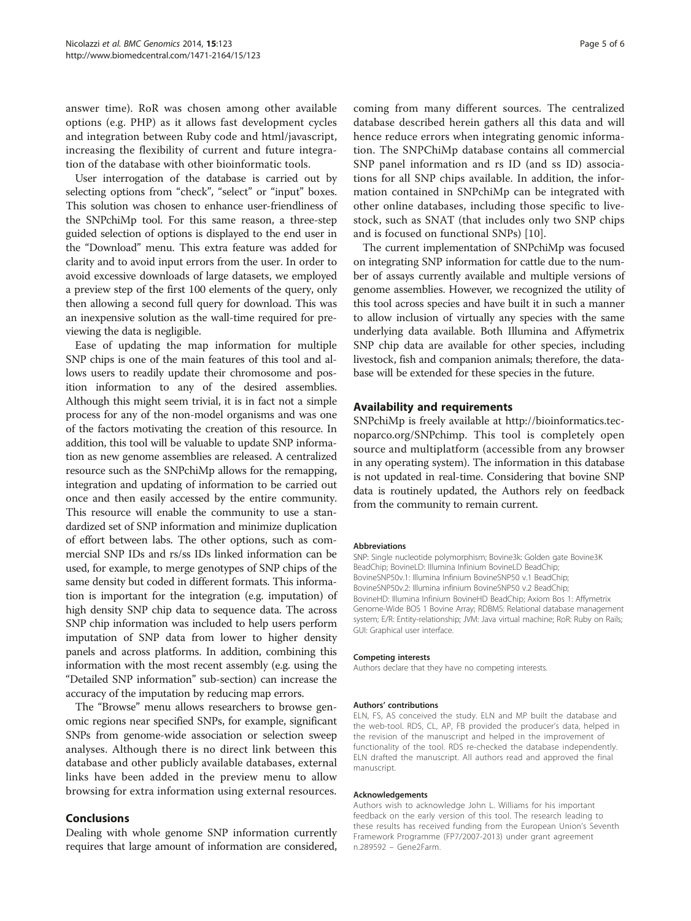answer time). RoR was chosen among other available options (e.g. PHP) as it allows fast development cycles and integration between Ruby code and html/javascript, increasing the flexibility of current and future integration of the database with other bioinformatic tools.

User interrogation of the database is carried out by selecting options from "check", "select" or "input" boxes. This solution was chosen to enhance user-friendliness of the SNPchiMp tool. For this same reason, a three-step guided selection of options is displayed to the end user in the "Download" menu. This extra feature was added for clarity and to avoid input errors from the user. In order to avoid excessive downloads of large datasets, we employed a preview step of the first 100 elements of the query, only then allowing a second full query for download. This was an inexpensive solution as the wall-time required for previewing the data is negligible.

Ease of updating the map information for multiple SNP chips is one of the main features of this tool and allows users to readily update their chromosome and position information to any of the desired assemblies. Although this might seem trivial, it is in fact not a simple process for any of the non-model organisms and was one of the factors motivating the creation of this resource. In addition, this tool will be valuable to update SNP information as new genome assemblies are released. A centralized resource such as the SNPchiMp allows for the remapping, integration and updating of information to be carried out once and then easily accessed by the entire community. This resource will enable the community to use a standardized set of SNP information and minimize duplication of effort between labs. The other options, such as commercial SNP IDs and rs/ss IDs linked information can be used, for example, to merge genotypes of SNP chips of the same density but coded in different formats. This information is important for the integration (e.g. imputation) of high density SNP chip data to sequence data. The across SNP chip information was included to help users perform imputation of SNP data from lower to higher density panels and across platforms. In addition, combining this information with the most recent assembly (e.g. using the "Detailed SNP information" sub-section) can increase the accuracy of the imputation by reducing map errors.

The "Browse" menu allows researchers to browse genomic regions near specified SNPs, for example, significant SNPs from genome-wide association or selection sweep analyses. Although there is no direct link between this database and other publicly available databases, external links have been added in the preview menu to allow browsing for extra information using external resources.

#### Conclusions

Dealing with whole genome SNP information currently requires that large amount of information are considered,

coming from many different sources. The centralized database described herein gathers all this data and will hence reduce errors when integrating genomic information. The SNPChiMp database contains all commercial SNP panel information and rs ID (and ss ID) associations for all SNP chips available. In addition, the information contained in SNPchiMp can be integrated with other online databases, including those specific to livestock, such as SNAT (that includes only two SNP chips and is focused on functional SNPs) [[10\]](#page-5-0).

The current implementation of SNPchiMp was focused on integrating SNP information for cattle due to the number of assays currently available and multiple versions of genome assemblies. However, we recognized the utility of this tool across species and have built it in such a manner to allow inclusion of virtually any species with the same underlying data available. Both Illumina and Affymetrix SNP chip data are available for other species, including livestock, fish and companion animals; therefore, the database will be extended for these species in the future.

#### Availability and requirements

SNPchiMp is freely available at [http://bioinformatics.tec](http://bioinformatics.tecnoparco.org/SNPchimp)[noparco.org/SNPchimp.](http://bioinformatics.tecnoparco.org/SNPchimp) This tool is completely open source and multiplatform (accessible from any browser in any operating system). The information in this database is not updated in real-time. Considering that bovine SNP data is routinely updated, the Authors rely on feedback from the community to remain current.

#### Abbreviations

SNP: Single nucleotide polymorphism; Bovine3k: Golden gate Bovine3K BeadChip; BovineLD: Illumina Infinium BovineLD BeadChip; BovineSNP50v.1: Illumina Infinium BovineSNP50 v.1 BeadChip; BovineSNP50v.2: Illumina infinium BovineSNP50 v.2 BeadChip; BovineHD: Illumina Infinium BovineHD BeadChip; Axiom Bos 1: Affymetrix Genome-Wide BOS 1 Bovine Array; RDBMS: Relational database management system; E/R: Entity-relationship; JVM: Java virtual machine; RoR: Ruby on Rails; GUI: Graphical user interface.

#### Competing interests

Authors declare that they have no competing interests.

#### Authors' contributions

ELN, FS, AS conceived the study. ELN and MP built the database and the web-tool. RDS, CL, AP, FB provided the producer's data, helped in the revision of the manuscript and helped in the improvement of functionality of the tool. RDS re-checked the database independently. ELN drafted the manuscript. All authors read and approved the final manuscript.

#### Acknowledgements

Authors wish to acknowledge John L. Williams for his important feedback on the early version of this tool. The research leading to these results has received funding from the European Union's Seventh Framework Programme (FP7/2007-2013) under grant agreement n.289592 – Gene2Farm.